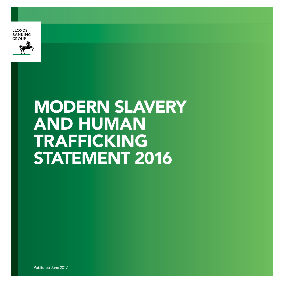



# MODERN SLAVERY AND HUMAN TRAFFICKING STATEMENT 2016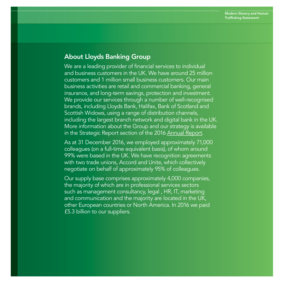# About Lloyds Banking Group

We are a leading provider of financial services to individual and business customers in the UK. We have around 25 million customers and 1 million small business customers. Our main business activities are retail and commercial banking, general insurance, and long-term savings, protection and investment. We provide our services through a number of well-recognised brands, including Lloyds Bank, Halifax, Bank of Scotland and Scottish Widows, using a range of distribution channels, including the largest branch network and digital bank in the UK. More information about the Group and our strategy is available in the Strategic Report section of the 2016 [Annual](http://www.lloydsbankinggroup.com/globalassets/documents/investors/2016/2016_lbg_annual_report.pdf) Report.

As at 31 December 2016, we employed approximately 71,000 colleagues (on a full-time equivalent basis), of whom around 99% were based in the UK. We have recognition agreements with two trade unions, Accord and Unite, which collectively negotiate on behalf of approximately 95% of colleagues.

Our supply base comprises approximately 4,000 companies, the majority of which are in professional services sectors such as management consultancy, legal , HR, IT, marketing and communication and the majority are located in the UK, other European countries or North America. In 2016 we paid £5.3 billion to our suppliers.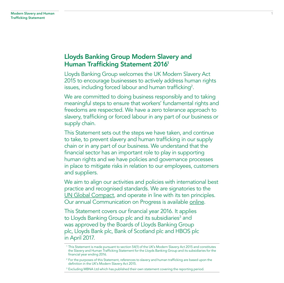# Lloyds Banking Group Modern Slavery and Human Trafficking Statement 20161

Lloyds Banking Group welcomes the UK Modern Slavery Act 2015 to encourage businesses to actively address human rights issues, including forced labour and human trafficking<sup>2</sup>.

We are committed to doing business responsibly and to taking meaningful steps to ensure that workers' fundamental rights and freedoms are respected. We have a zero tolerance approach to slavery, trafficking or forced labour in any part of our business or supply chain.

This Statement sets out the steps we have taken, and continue to take, to prevent slavery and human trafficking in our supply chain or in any part of our business. We understand that the financial sector has an important role to play in supporting human rights and we have policies and governance processes in place to mitigate risks in relation to our employees, customers and suppliers.

We aim to align our activities and policies with international best practice and recognised standards. We are signatories to the [UN Global Compact,](https://www.unglobalcompact.org/) and operate in line with its ten principles. Our annual Communication on Progress is available [online.](https://www.unglobalcompact.org/what-is-gc/participants/78301-Lloyds-Banking-Group)

This Statement covers our financial year 2016. It applies to Lloyds Banking Group plc and its subsidiaries $^3$  and was approved by the Boards of Lloyds Banking Group plc, Lloyds Bank plc, Bank of Scotland plc and HBOS plc in April 2017.

<sup>1</sup> This Statement is made pursuant to section 54(1) of the UK's Modern Slavery Act 2015 and constitutes the Slavery and Human Trafficking Statement for the Lloyds Banking Group and its subsidiaries for the financial year ending 2016.

<sup>&</sup>lt;sup>2</sup> For the purposes of this Statement, references to slavery and human trafficking are based upon the definition in the UK's Modern Slavery Act 2015.

<sup>&</sup>lt;sup>3</sup> Excluding MBNA Ltd which has published their own statement covering the reporting period.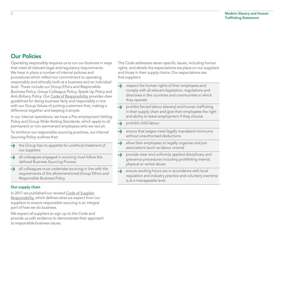# Our Policies

Operating responsibly requires us to run our business in ways that meet all relevant legal and regulatory requirements. We have in place a number of internal policies and procedures which reflect our commitment to operating responsibly and ethically both at a business and an individual level. These include our Group Ethics and Responsible Business Policy, Group Colleague Policy, Speak Up Policy and Anti-Bribery Policy. Our [Code of Responsibility](http://www.lloydsbankinggroup.com/globalassets/our-group/responsible-business/download-centre/helping-britain-prosper-2017/lbg_prosperupdate2017_2017codeofresponsibility_pdf.pdf) provides clear guidelines for doing business fairly and responsibly in line with our Group Values of putting customers first, making a difference together and keeping it simple.

In our internal operations, we have a Pre-employment Vetting Policy and Group Wide Vetting Standards, which apply to all permanent or non-permanent employees who we recruit.

To reinforce our responsible sourcing practices, our internal Sourcing Policy outlines that:

- the Group has no appetite for unethical treatment of our suppliers
- $\rightarrow$  all colleagues engaged in sourcing must follow the defined Business Sourcing Process
- $\rightarrow$  all colleagues must undertake sourcing in line with the requirements of the aforementioned Group Ethics and Responsible Business Policy

## Our supply chain

In 2017 we published our revised [Code of Supplier](http://www.lloydsbankinggroup.com/globalassets/our-group/suppliers/responsible-sourcing/lbg-code-of-supplier-responsibility_v17_04-12-14-final.pdf)  [Responsibility](http://www.lloydsbankinggroup.com/globalassets/our-group/suppliers/responsible-sourcing/lbg-code-of-supplier-responsibility_v17_04-12-14-final.pdf), which defines what we expect from our suppliers to ensure responsible sourcing is an integral part of how we do business.

We expect all suppliers to sign up to this Code and provide us with evidence to demonstrate their approach to responsible business issues.

The Code addresses seven specific issues, including human rights, and details the expectations we place on our suppliers and those in their supply chains. Our expectations are that suppliers:

- $\rightarrow$ respect the human rights of their employees and comply with all relevant legislation, regulations and directives in the countries and communities in which they operate
- $\rightarrow$  prohibit forced labour (slavery) and human trafficking in their supply chain and give their employees the right and ability to leave employment if they choose
- $\rightarrow$ prohibit child labour
- $\rightarrow$ ensure that wages meet legally mandated minimums without unauthorised deductions
- $\rightarrow$ allow their employees to legally organise and join associations (such as labour unions)
- provide clear and uniformly applied disciplinary and  $\rightarrow$ grievance procedures including prohibiting mental, physical or verbal abuse
- $\rightarrow$ ensure working hours are in accordance with local regulation and industry practice and voluntary overtime is at a manageable level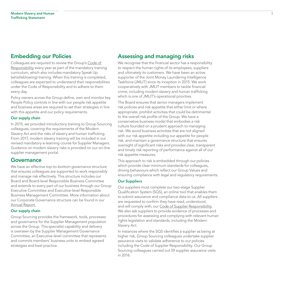# Embedding our Policies

Colleagues are required to review the Group's [Code of](http://www.lloydsbankinggroup.com/globalassets/our-group/responsible-business/download-centre/helping-britain-prosper-2017/lbg_prosperupdate2017_2017codeofresponsibility_pdf.pdf)  [Responsibility](http://www.lloydsbankinggroup.com/globalassets/our-group/responsible-business/download-centre/helping-britain-prosper-2017/lbg_prosperupdate2017_2017codeofresponsibility_pdf.pdf) every year as part of the mandatory training curriculum, which also includes mandatory Speak Up (whistleblowing) training. When this training is completed, colleagues are expected to understand their responsibilities under the Code of Responsibility and to adhere to them every day.

Policy owners across the Group define, own and monitor key People Policy controls in line with our people risk appetite and business areas are required to set their strategies in line with this appetite and our policy requirements.

#### Our supply chain

In 2015, we provided introductory training to Group Sourcing colleagues, covering the requirements of the Modern Slavery Act and the risks of slavery and human trafficking. From 2017, modern slavery training will be included in our revised mandatory e-learning course for Supplier Managers. Guidance on modern slavery risks is provided on our on-line supplier management portal.

## Governance

We have an effective top-to-bottom governance structure that ensures colleagues are supported to work responsibly and manage risk effectively. This structure includes our Board and Board-level Responsible Business Committee and extends to every part of our business through our Group Executive Committee and Executive-level Responsible Business Management Committee. More information about our Corporate Governance structure can be found in our [Annual](http://www.lloydsbankinggroup.com/globalassets/documents/investors/2016/2016_lbg_annual_report.pdf) Report.

## Our supply chain

Group Sourcing provides the framework, tools, processes and governance for the Supplier Management population across the Group. This specialist capability and delivery is overseen by the Supplier Management Governance Committee, an Executive-level committee that represents and commits members' business units to embed agreed strategies and best practice.

## Assessing and managing risks

We recognise that the financial sector has a responsibility to respect the human rights of its employees, suppliers and ultimately its customers. We have been an active supporter of the Joint Money Laundering Intelligence Taskforce (JMLIT) since its inception in 2015. We work cooperatively with JMLIT members to tackle financial crime, including modern slavery and human trafficking which is one of JMLIT's operational priorities.

The Board ensures that senior managers implement risk policies and risk appetite that either limit or where appropriate, prohibit activities that could be detrimental to the overall risk profile of the Group. We have a conservative business model that embodies a risk culture founded on a prudent approach to managing risk. We avoid business activities that are not aligned with our risk appetite including our appetite for people risk, and maintain a governance structure that ensures oversight of significant risks and provides clear, transparent and timely risk reporting of performance against all of our risk appetite measures.

This approach to risk is embedded through our policies which provide clear minimum standards for colleagues, driving behaviours which reflect our Group Values and ensuring compliance with legal and regulatory requirements.

#### Our Suppliers

Our suppliers must complete our two-stage Supplier Qualification System (SQS), an online tool that enables them to submit assurance and compliance data to us. All suppliers are requested to confirm they have read, understood, and will comply with, our [Code of Supplier Responsibility.](http://www.lloydsbankinggroup.com/globalassets/our-group/suppliers/responsible-sourcing/lbg-code-of-supplier-responsibility_v17_04-12-14-final.pdf) We also ask suppliers to provide evidence of processes and procedures for assessing and complying with relevant human rights legislation and standards, including the Modern Slavery Act.

In instances where the SQS identifies a supplier as being at higher risk, Group Sourcing colleagues undertake supplier assurance visits to validate adherence to our policies including the Code of Supplier Responsibility. Our Group Sourcing colleagues carried out 59 supplier assurance visits in 2016.